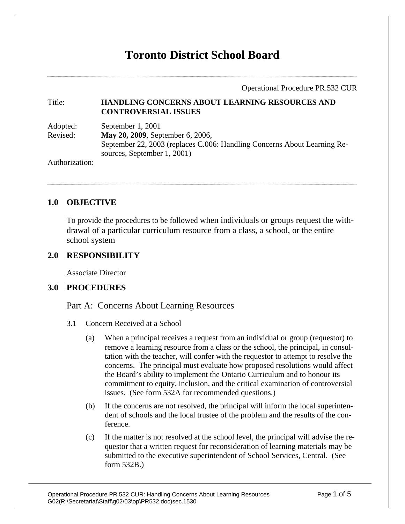# **Toronto District School Board**

Operational Procedure PR.532 CUR

### Title: **HANDLING CONCERNS ABOUT LEARNING RESOURCES AND CONTROVERSIAL ISSUES**

| Adopted: | September 1, 2001                                                        |
|----------|--------------------------------------------------------------------------|
| Revised: | <b>May 20, 2009</b> , September 6, 2006,                                 |
|          | September 22, 2003 (replaces C.006: Handling Concerns About Learning Re- |
|          | sources, September 1, 2001)                                              |

Authorization:

# **1.0 OBJECTIVE**

To provide the procedures to be followed when individuals or groups request the withdrawal of a particular curriculum resource from a class, a school, or the entire school system

# **2.0 RESPONSIBILITY**

Associate Director

# **3.0 PROCEDURES**

## Part A: Concerns About Learning Resources

#### 3.1 Concern Received at a School

- (a) When a principal receives a request from an individual or group (requestor) to remove a learning resource from a class or the school, the principal, in consultation with the teacher, will confer with the requestor to attempt to resolve the concerns. The principal must evaluate how proposed resolutions would affect the Board's ability to implement the Ontario Curriculum and to honour its commitment to equity, inclusion, and the critical examination of controversial issues. (See form 532A for recommended questions.)
- (b) If the concerns are not resolved, the principal will inform the local superintendent of schools and the local trustee of the problem and the results of the conference.
- (c) If the matter is not resolved at the school level, the principal will advise the requestor that a written request for reconsideration of learning materials may be submitted to the executive superintendent of School Services, Central. (See form 532B.)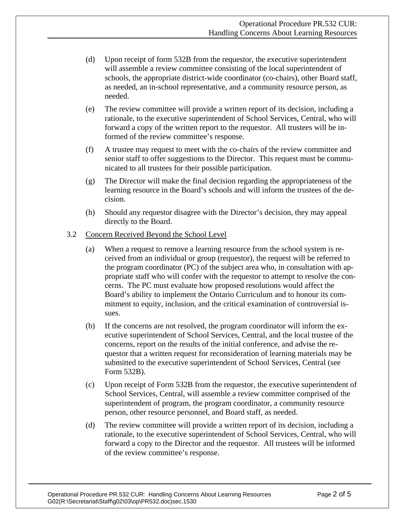- (d) Upon receipt of form 532B from the requestor, the executive superintendent will assemble a review committee consisting of the local superintendent of schools, the appropriate district-wide coordinator (co-chairs), other Board staff, as needed, an in-school representative, and a community resource person, as needed.
- (e) The review committee will provide a written report of its decision, including a rationale, to the executive superintendent of School Services, Central, who will forward a copy of the written report to the requestor. All trustees will be informed of the review committee's response.
- (f) A trustee may request to meet with the co-chairs of the review committee and senior staff to offer suggestions to the Director. This request must be communicated to all trustees for their possible participation.
- (g) The Director will make the final decision regarding the appropriateness of the learning resource in the Board's schools and will inform the trustees of the decision.
- (h) Should any requestor disagree with the Director's decision, they may appeal directly to the Board.

#### 3.2 Concern Received Beyond the School Level

- (a) When a request to remove a learning resource from the school system is received from an individual or group (requestor), the request will be referred to the program coordinator (PC) of the subject area who, in consultation with appropriate staff who will confer with the requestor to attempt to resolve the concerns. The PC must evaluate how proposed resolutions would affect the Board's ability to implement the Ontario Curriculum and to honour its commitment to equity, inclusion, and the critical examination of controversial issues.
- (b) If the concerns are not resolved, the program coordinator will inform the executive superintendent of School Services, Central, and the local trustee of the concerns, report on the results of the initial conference, and advise the requestor that a written request for reconsideration of learning materials may be submitted to the executive superintendent of School Services, Central (see Form 532B).
- (c) Upon receipt of Form 532B from the requestor, the executive superintendent of School Services, Central, will assemble a review committee comprised of the superintendent of program, the program coordinator, a community resource person, other resource personnel, and Board staff, as needed.
- (d) The review committee will provide a written report of its decision, including a rationale, to the executive superintendent of School Services, Central, who will forward a copy to the Director and the requestor. All trustees will be informed of the review committee's response.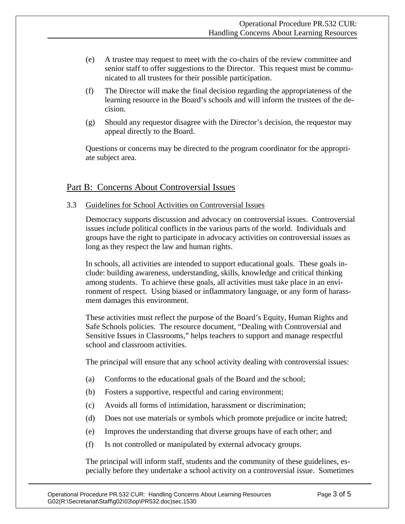- (e) A trustee may request to meet with the co-chairs of the review committee and senior staff to offer suggestions to the Director. This request must be communicated to all trustees for their possible participation.
- (f) The Director will make the final decision regarding the appropriateness of the learning resource in the Board's schools and will inform the trustees of the decision.
- (g) Should any requestor disagree with the Director's decision, the requestor may appeal directly to the Board.

Questions or concerns may be directed to the program coordinator for the appropriate subject area.

# Part B: Concerns About Controversial Issues

3.3 Guidelines for School Activities on Controversial Issues

Democracy supports discussion and advocacy on controversial issues. Controversial issues include political conflicts in the various parts of the world. Individuals and groups have the right to participate in advocacy activities on controversial issues as long as they respect the law and human rights.

In schools, all activities are intended to support educational goals. These goals include: building awareness, understanding, skills, knowledge and critical thinking among students. To achieve these goals, all activities must take place in an environment of respect. Using biased or inflammatory language, or any form of harassment damages this environment.

These activities must reflect the purpose of the Board's Equity, Human Rights and Safe Schools policies. The resource document, "Dealing with Controversial and Sensitive Issues in Classrooms," helps teachers to support and manage respectful school and classroom activities.

The principal will ensure that any school activity dealing with controversial issues:

- (a) Conforms to the educational goals of the Board and the school;
- (b) Fosters a supportive, respectful and caring environment;
- (c) Avoids all forms of intimidation, harassment or discrimination;
- (d) Does not use materials or symbols which promote prejudice or incite hatred;
- (e) Improves the understanding that diverse groups have of each other; and
- (f) Is not controlled or manipulated by external advocacy groups.

The principal will inform staff, students and the community of these guidelines, especially before they undertake a school activity on a controversial issue. Sometimes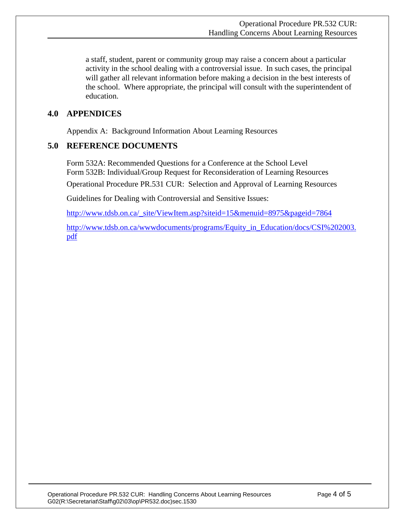a staff, student, parent or community group may raise a concern about a particular activity in the school dealing with a controversial issue. In such cases, the principal will gather all relevant information before making a decision in the best interests of the school. Where appropriate, the principal will consult with the superintendent of education.

## **4.0 APPENDICES**

Appendix A: Background Information About Learning Resources

## **5.0 REFERENCE DOCUMENTS**

Form 532A: Recommended Questions for a Conference at the School Level Form 532B: Individual/Group Request for Reconsideration of Learning Resources Operational Procedure PR.531 CUR: Selection and Approval of Learning Resources

Guidelines for Dealing with Controversial and Sensitive Issues:

http://www.tdsb.on.ca/\_site/ViewItem.asp?siteid=15&menuid=8975&pageid=7864

http://www.tdsb.on.ca/wwwdocuments/programs/Equity\_in\_Education/docs/CSI%202003. pdf